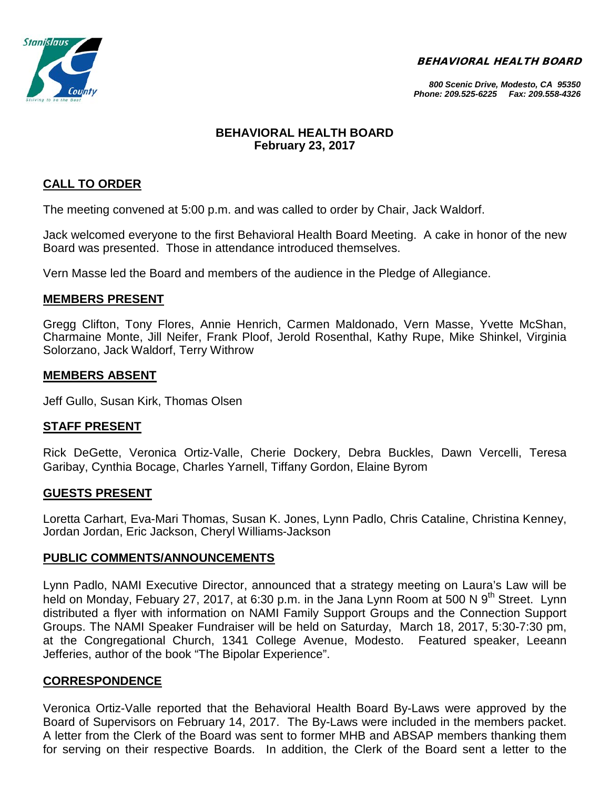BEHAVIORAL HEALTH BOARD



#### *800 Scenic Drive, Modesto, CA 95350 Phone: 209.525-6225 Fax: 209.558-4326*

#### **BEHAVIORAL HEALTH BOARD February 23, 2017**

## **CALL TO ORDER**

The meeting convened at 5:00 p.m. and was called to order by Chair, Jack Waldorf.

Jack welcomed everyone to the first Behavioral Health Board Meeting. A cake in honor of the new Board was presented. Those in attendance introduced themselves.

Vern Masse led the Board and members of the audience in the Pledge of Allegiance.

#### **MEMBERS PRESENT**

Gregg Clifton, Tony Flores, Annie Henrich, Carmen Maldonado, Vern Masse, Yvette McShan, Charmaine Monte, Jill Neifer, Frank Ploof, Jerold Rosenthal, Kathy Rupe, Mike Shinkel, Virginia Solorzano, Jack Waldorf, Terry Withrow

#### **MEMBERS ABSENT**

Jeff Gullo, Susan Kirk, Thomas Olsen

#### **STAFF PRESENT**

Rick DeGette, Veronica Ortiz-Valle, Cherie Dockery, Debra Buckles, Dawn Vercelli, Teresa Garibay, Cynthia Bocage, Charles Yarnell, Tiffany Gordon, Elaine Byrom

#### **GUESTS PRESENT**

Loretta Carhart, Eva-Mari Thomas, Susan K. Jones, Lynn Padlo, Chris Cataline, Christina Kenney, Jordan Jordan, Eric Jackson, Cheryl Williams-Jackson

#### **PUBLIC COMMENTS/ANNOUNCEMENTS**

Lynn Padlo, NAMI Executive Director, announced that a strategy meeting on Laura's Law will be held on Monday, Febuary 27, 2017, at 6:30 p.m. in the Jana Lynn Room at 500 N 9<sup>th</sup> Street. Lynn distributed a flyer with information on NAMI Family Support Groups and the Connection Support Groups. The NAMI Speaker Fundraiser will be held on Saturday, March 18, 2017, 5:30-7:30 pm, at the Congregational Church, 1341 College Avenue, Modesto. Featured speaker, Leeann Jefferies, author of the book "The Bipolar Experience".

#### **CORRESPONDENCE**

Veronica Ortiz-Valle reported that the Behavioral Health Board By-Laws were approved by the Board of Supervisors on February 14, 2017. The By-Laws were included in the members packet. A letter from the Clerk of the Board was sent to former MHB and ABSAP members thanking them for serving on their respective Boards. In addition, the Clerk of the Board sent a letter to the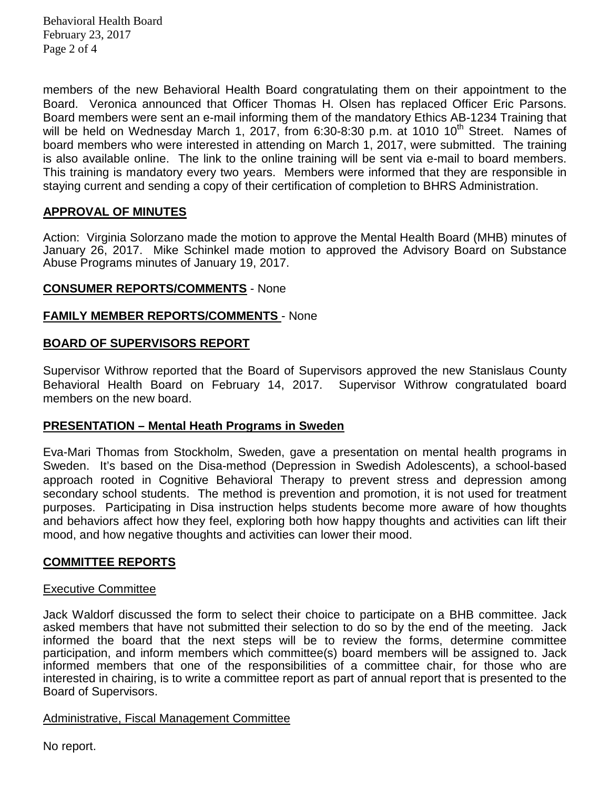Behavioral Health Board February 23, 2017 Page 2 of 4

members of the new Behavioral Health Board congratulating them on their appointment to the Board. Veronica announced that Officer Thomas H. Olsen has replaced Officer Eric Parsons. Board members were sent an e-mail informing them of the mandatory Ethics AB-1234 Training that will be held on Wednesday March 1, 2017, from 6:30-8:30 p.m. at 1010 10<sup>th</sup> Street. Names of board members who were interested in attending on March 1, 2017, were submitted. The training is also available online. The link to the online training will be sent via e-mail to board members. This training is mandatory every two years. Members were informed that they are responsible in staying current and sending a copy of their certification of completion to BHRS Administration.

#### **APPROVAL OF MINUTES**

Action: Virginia Solorzano made the motion to approve the Mental Health Board (MHB) minutes of January 26, 2017. Mike Schinkel made motion to approved the Advisory Board on Substance Abuse Programs minutes of January 19, 2017.

#### **CONSUMER REPORTS/COMMENTS** - None

## **FAMILY MEMBER REPORTS/COMMENTS** - None

## **BOARD OF SUPERVISORS REPORT**

Supervisor Withrow reported that the Board of Supervisors approved the new Stanislaus County Behavioral Health Board on February 14, 2017. Supervisor Withrow congratulated board members on the new board.

#### **PRESENTATION – Mental Heath Programs in Sweden**

Eva-Mari Thomas from Stockholm, Sweden, gave a presentation on mental health programs in Sweden. It's based on the Disa-method (Depression in Swedish Adolescents), a school-based approach rooted in Cognitive Behavioral Therapy to prevent stress and depression among secondary school students. The method is prevention and promotion, it is not used for treatment purposes. Participating in Disa instruction helps students become more aware of how thoughts and behaviors affect how they feel, exploring both how happy thoughts and activities can lift their mood, and how negative thoughts and activities can lower their mood.

#### **COMMITTEE REPORTS**

#### Executive Committee

Jack Waldorf discussed the form to select their choice to participate on a BHB committee. Jack asked members that have not submitted their selection to do so by the end of the meeting. Jack informed the board that the next steps will be to review the forms, determine committee participation, and inform members which committee(s) board members will be assigned to. Jack informed members that one of the responsibilities of a committee chair, for those who are interested in chairing, is to write a committee report as part of annual report that is presented to the Board of Supervisors.

#### Administrative, Fiscal Management Committee

No report.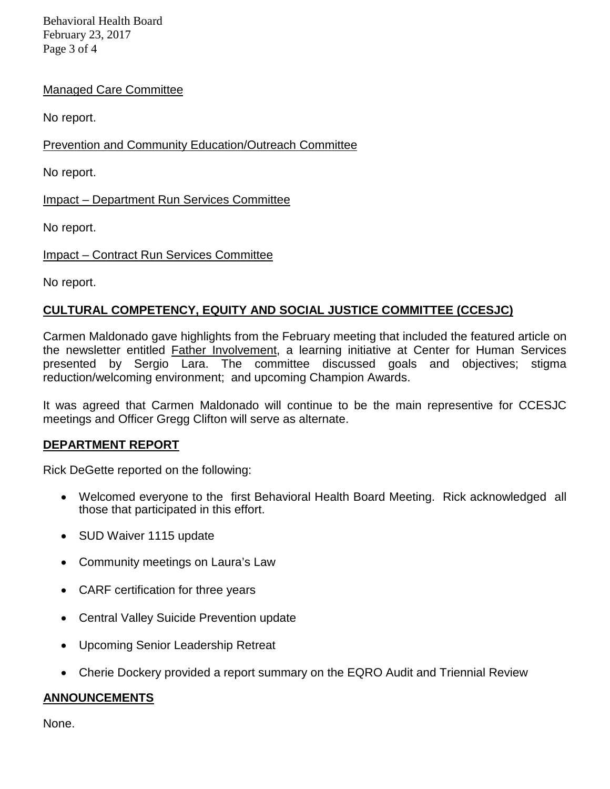Behavioral Health Board February 23, 2017 Page 3 of 4

#### Managed Care Committee

No report.

Prevention and Community Education/Outreach Committee

No report.

Impact – Department Run Services Committee

No report.

Impact – Contract Run Services Committee

No report.

## **CULTURAL COMPETENCY, EQUITY AND SOCIAL JUSTICE COMMITTEE (CCESJC)**

Carmen Maldonado gave highlights from the February meeting that included the featured article on the newsletter entitled Father Involvement, a learning initiative at Center for Human Services presented by Sergio Lara. The committee discussed goals and objectives; stigma reduction/welcoming environment; and upcoming Champion Awards.

It was agreed that Carmen Maldonado will continue to be the main representive for CCESJC meetings and Officer Gregg Clifton will serve as alternate.

#### **DEPARTMENT REPORT**

Rick DeGette reported on the following:

- Welcomed everyone to the first Behavioral Health Board Meeting. Rick acknowledged all those that participated in this effort.
- SUD Waiver 1115 update
- Community meetings on Laura's Law
- CARF certification for three years
- Central Valley Suicide Prevention update
- Upcoming Senior Leadership Retreat
- Cherie Dockery provided a report summary on the EQRO Audit and Triennial Review

## **ANNOUNCEMENTS**

None.